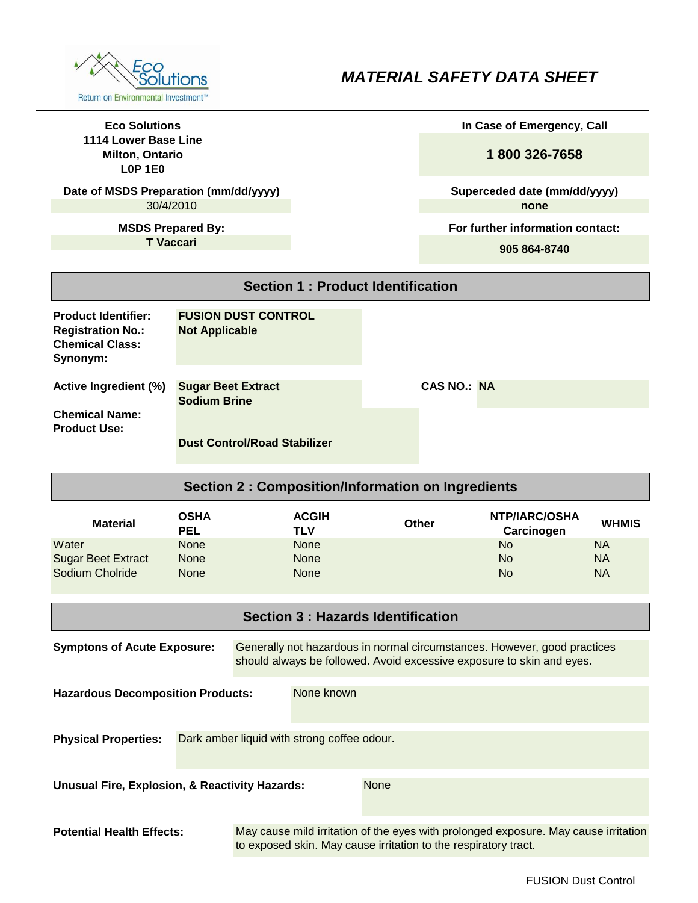

## *MATERIAL SAFETY DATA SHEET*

| <b>Eco Solutions</b><br>1114 Lower Base Line                                                                                                                                            |                           |                                     |                                                          | In Case of Emergency, Call |                                                                                     |                                      |                        |
|-----------------------------------------------------------------------------------------------------------------------------------------------------------------------------------------|---------------------------|-------------------------------------|----------------------------------------------------------|----------------------------|-------------------------------------------------------------------------------------|--------------------------------------|------------------------|
| <b>Milton, Ontario</b><br><b>L0P 1E0</b>                                                                                                                                                |                           |                                     |                                                          |                            | 1800 326-7658                                                                       |                                      |                        |
| Date of MSDS Preparation (mm/dd/yyyy)<br>30/4/2010                                                                                                                                      |                           |                                     |                                                          |                            |                                                                                     | Superceded date (mm/dd/yyyy)<br>none |                        |
| <b>MSDS Prepared By:</b>                                                                                                                                                                |                           |                                     |                                                          |                            |                                                                                     | For further information contact:     |                        |
| <b>T</b> Vaccari                                                                                                                                                                        |                           |                                     |                                                          |                            |                                                                                     | 905 864-8740                         |                        |
|                                                                                                                                                                                         |                           |                                     |                                                          |                            |                                                                                     |                                      |                        |
|                                                                                                                                                                                         |                           |                                     | <b>Section 1: Product Identification</b>                 |                            |                                                                                     |                                      |                        |
| <b>Product Identifier:</b><br><b>Registration No.:</b><br><b>Chemical Class:</b><br>Synonym:                                                                                            | <b>Not Applicable</b>     | <b>FUSION DUST CONTROL</b>          |                                                          |                            |                                                                                     |                                      |                        |
| <b>Active Ingredient (%)</b>                                                                                                                                                            | <b>Sugar Beet Extract</b> |                                     |                                                          |                            | <b>CAS NO.: NA</b>                                                                  |                                      |                        |
|                                                                                                                                                                                         | <b>Sodium Brine</b>       |                                     |                                                          |                            |                                                                                     |                                      |                        |
| <b>Chemical Name:</b><br><b>Product Use:</b>                                                                                                                                            |                           |                                     |                                                          |                            |                                                                                     |                                      |                        |
|                                                                                                                                                                                         |                           | <b>Dust Control/Road Stabilizer</b> |                                                          |                            |                                                                                     |                                      |                        |
|                                                                                                                                                                                         |                           |                                     |                                                          |                            |                                                                                     |                                      |                        |
|                                                                                                                                                                                         |                           |                                     | <b>Section 2: Composition/Information on Ingredients</b> |                            |                                                                                     |                                      |                        |
| <b>Material</b>                                                                                                                                                                         | <b>OSHA</b><br><b>PEL</b> |                                     | <b>ACGIH</b><br><b>TLV</b>                               |                            | <b>Other</b>                                                                        | NTP/IARC/OSHA<br>Carcinogen          | <b>WHMIS</b>           |
| Water                                                                                                                                                                                   | None                      |                                     | <b>None</b>                                              |                            |                                                                                     | <b>No</b>                            | <b>NA</b>              |
| <b>Sugar Beet Extract</b><br>Sodium Cholride                                                                                                                                            | None<br>None              |                                     | <b>None</b><br><b>None</b>                               |                            |                                                                                     | <b>No</b><br><b>No</b>               | <b>NA</b><br><b>NA</b> |
|                                                                                                                                                                                         |                           |                                     |                                                          |                            |                                                                                     |                                      |                        |
| <b>Section 3: Hazards Identification</b>                                                                                                                                                |                           |                                     |                                                          |                            |                                                                                     |                                      |                        |
| <b>Symptons of Acute Exposure:</b><br>Generally not hazardous in normal circumstances. However, good practices<br>should always be followed. Avoid excessive exposure to skin and eyes. |                           |                                     |                                                          |                            |                                                                                     |                                      |                        |
| None known<br><b>Hazardous Decomposition Products:</b>                                                                                                                                  |                           |                                     |                                                          |                            |                                                                                     |                                      |                        |
|                                                                                                                                                                                         |                           |                                     |                                                          |                            |                                                                                     |                                      |                        |
|                                                                                                                                                                                         |                           |                                     |                                                          |                            |                                                                                     |                                      |                        |
| <b>Physical Properties:</b><br>Dark amber liquid with strong coffee odour.                                                                                                              |                           |                                     |                                                          |                            |                                                                                     |                                      |                        |
| <b>None</b><br>Unusual Fire, Explosion, & Reactivity Hazards:                                                                                                                           |                           |                                     |                                                          |                            |                                                                                     |                                      |                        |
| <b>Potential Health Effects:</b>                                                                                                                                                        |                           |                                     |                                                          |                            | May cause mild irritation of the eyes with prolonged exposure. May cause irritation |                                      |                        |
| to exposed skin. May cause irritation to the respiratory tract.                                                                                                                         |                           |                                     |                                                          |                            |                                                                                     |                                      |                        |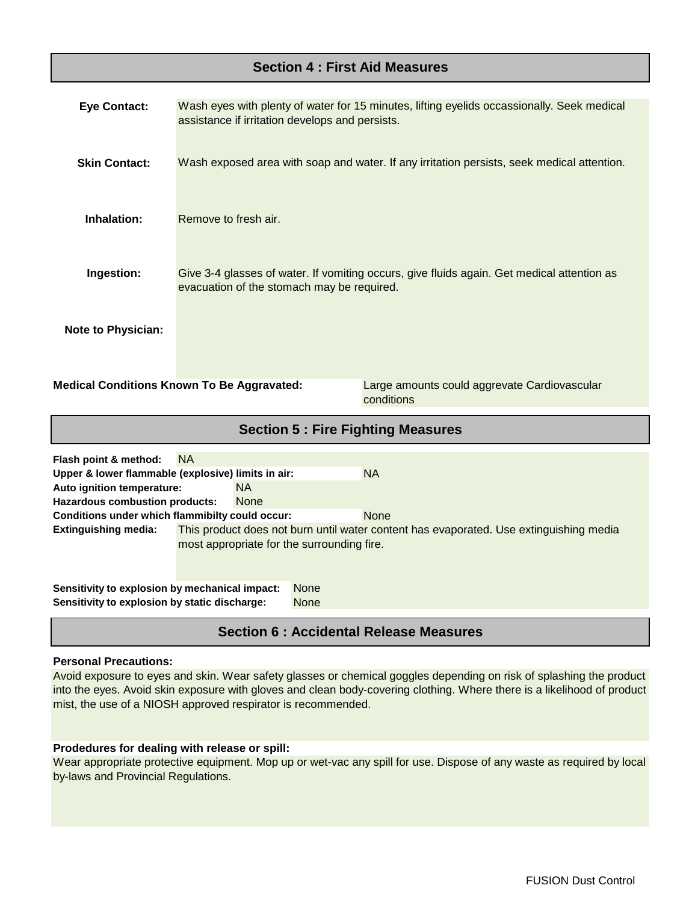## **Section 4 : First Aid Measures**

| <b>Section 5: Fire Fighting Measures</b>                                                                        |                                                                                                                                               |  |  |  |
|-----------------------------------------------------------------------------------------------------------------|-----------------------------------------------------------------------------------------------------------------------------------------------|--|--|--|
| <b>Medical Conditions Known To Be Aggravated:</b><br>Large amounts could aggrevate Cardiovascular<br>conditions |                                                                                                                                               |  |  |  |
| <b>Note to Physician:</b>                                                                                       |                                                                                                                                               |  |  |  |
| Ingestion:                                                                                                      | Give 3-4 glasses of water. If vomiting occurs, give fluids again. Get medical attention as<br>evacuation of the stomach may be required.      |  |  |  |
| Inhalation:                                                                                                     | Remove to fresh air.                                                                                                                          |  |  |  |
| <b>Skin Contact:</b>                                                                                            | Wash exposed area with soap and water. If any irritation persists, seek medical attention.                                                    |  |  |  |
| <b>Eye Contact:</b>                                                                                             | Wash eyes with plenty of water for 15 minutes, lifting eyelids occassionally. Seek medical<br>assistance if irritation develops and persists. |  |  |  |

| Flash point & method:                              | <b>NA</b>                                                                                                                            |             |  |             |
|----------------------------------------------------|--------------------------------------------------------------------------------------------------------------------------------------|-------------|--|-------------|
| Upper & lower flammable (explosive) limits in air: |                                                                                                                                      |             |  | <b>NA</b>   |
| Auto ignition temperature:                         |                                                                                                                                      | <b>NA</b>   |  |             |
| <b>Hazardous combustion products:</b>              |                                                                                                                                      | <b>None</b> |  |             |
| Conditions under which flammibilty could occur:    |                                                                                                                                      |             |  | <b>None</b> |
| Extinguishing media:                               | This product does not burn until water content has evaporated. Use extinguishing media<br>most appropriate for the surrounding fire. |             |  |             |
| Sensitivity to explosion by mechanical impact:     |                                                                                                                                      | <b>None</b> |  |             |
| Sensitivity to explosion by static discharge:      |                                                                                                                                      | <b>None</b> |  |             |

## **Section 6 : Accidental Release Measures**

#### **Personal Precautions:**

Avoid exposure to eyes and skin. Wear safety glasses or chemical goggles depending on risk of splashing the product into the eyes. Avoid skin exposure with gloves and clean body-covering clothing. Where there is a likelihood of product mist, the use of a NIOSH approved respirator is recommended.

#### **Prodedures for dealing with release or spill:**

Wear appropriate protective equipment. Mop up or wet-vac any spill for use. Dispose of any waste as required by local by-laws and Provincial Regulations.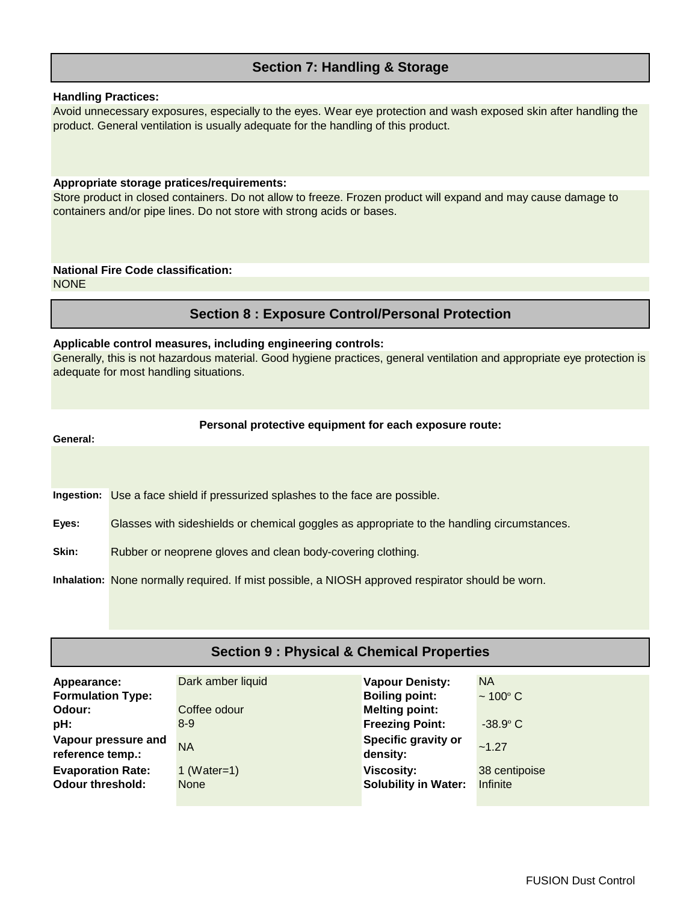### **Section 7: Handling & Storage**

#### **Handling Practices:**

Avoid unnecessary exposures, especially to the eyes. Wear eye protection and wash exposed skin after handling the product. General ventilation is usually adequate for the handling of this product.

#### **Appropriate storage pratices/requirements:**

Store product in closed containers. Do not allow to freeze. Frozen product will expand and may cause damage to containers and/or pipe lines. Do not store with strong acids or bases.

# **National Fire Code classification:**

**NONE** 

## **Section 8 : Exposure Control/Personal Protection**

#### **Applicable control measures, including engineering controls:**

Generally, this is not hazardous material. Good hygiene practices, general ventilation and appropriate eye protection is adequate for most handling situations.

#### **Personal protective equipment for each exposure route:**

**General:**

Ingestion: Use a face shield if pressurized splashes to the face are possible.

**Eyes:** Glasses with sideshields or chemical goggles as appropriate to the handling circumstances.

**Skin:** Rubber or neoprene gloves and clean body-covering clothing.

**Inhalation:** None normally required. If mist possible, a NIOSH approved respirator should be worn.

## **Section 9 : Physical & Chemical Properties**

| Appearance:<br><b>Formulation Type:</b><br>Odour:<br>pH:<br>Vapour pressure and<br>reference temp.: | Dark amber liquid<br>Coffee odour<br>$8-9$<br><b>NA</b> | <b>Vapour Denisty:</b><br><b>Boiling point:</b><br><b>Melting point:</b><br><b>Freezing Point:</b><br>Specific gravity or<br>density: | <b>NA</b><br>$\sim 100^{\circ}$ C<br>$-38.9^{\circ}$ C<br>$-1.27$ |
|-----------------------------------------------------------------------------------------------------|---------------------------------------------------------|---------------------------------------------------------------------------------------------------------------------------------------|-------------------------------------------------------------------|
| <b>Evaporation Rate:</b>                                                                            | 1 (Water=1)                                             | <b>Viscosity:</b>                                                                                                                     | 38 centipoise                                                     |
| <b>Odour threshold:</b>                                                                             | <b>None</b>                                             | <b>Solubility in Water:</b>                                                                                                           | <b>Infinite</b>                                                   |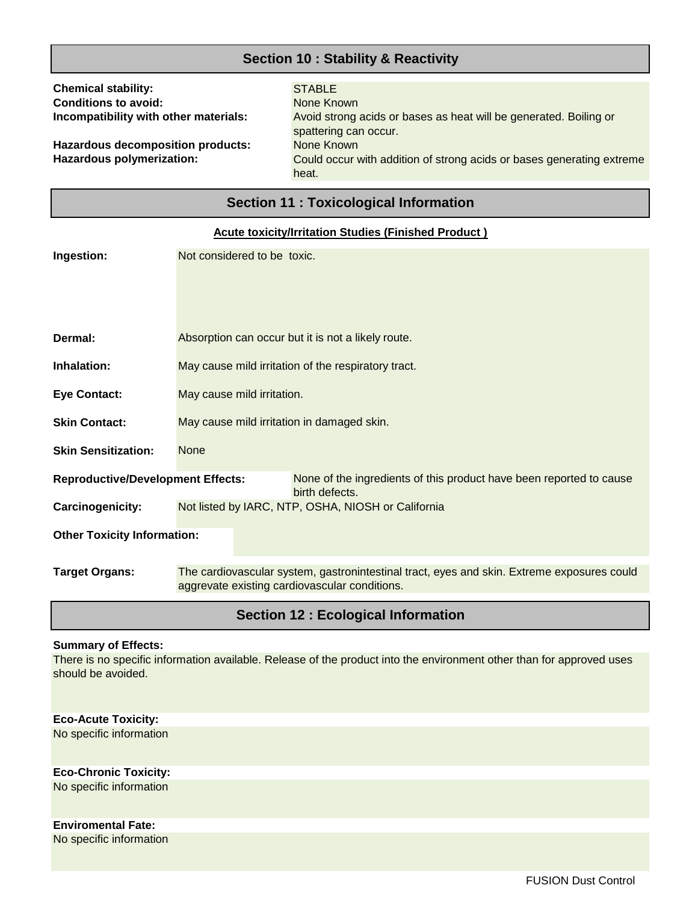## **Section 10 : Stability & Reactivity**

| <b>Chemical stability:</b><br><b>Conditions to avoid:</b><br>Incompatibility with other materials:<br><b>Hazardous decomposition products:</b><br>Hazardous polymerization: |                                                     | <b>STABLE</b><br>None Known<br>Avoid strong acids or bases as heat will be generated. Boiling or<br>spattering can occur.<br>None Known<br>Could occur with addition of strong acids or bases generating extreme<br>heat. |  |  |  |
|-----------------------------------------------------------------------------------------------------------------------------------------------------------------------------|-----------------------------------------------------|---------------------------------------------------------------------------------------------------------------------------------------------------------------------------------------------------------------------------|--|--|--|
|                                                                                                                                                                             | <b>Section 11: Toxicological Information</b>        |                                                                                                                                                                                                                           |  |  |  |
|                                                                                                                                                                             |                                                     | <b>Acute toxicity/Irritation Studies (Finished Product)</b>                                                                                                                                                               |  |  |  |
| Ingestion:                                                                                                                                                                  | Not considered to be toxic.                         |                                                                                                                                                                                                                           |  |  |  |
|                                                                                                                                                                             |                                                     |                                                                                                                                                                                                                           |  |  |  |
| Dermal:                                                                                                                                                                     |                                                     | Absorption can occur but it is not a likely route.                                                                                                                                                                        |  |  |  |
| Inhalation:                                                                                                                                                                 | May cause mild irritation of the respiratory tract. |                                                                                                                                                                                                                           |  |  |  |
| <b>Eye Contact:</b>                                                                                                                                                         | May cause mild irritation.                          |                                                                                                                                                                                                                           |  |  |  |
| <b>Skin Contact:</b>                                                                                                                                                        | May cause mild irritation in damaged skin.          |                                                                                                                                                                                                                           |  |  |  |
| <b>Skin Sensitization:</b>                                                                                                                                                  | <b>None</b>                                         |                                                                                                                                                                                                                           |  |  |  |
| <b>Reproductive/Development Effects:</b>                                                                                                                                    |                                                     | None of the ingredients of this product have been reported to cause<br>birth defects.                                                                                                                                     |  |  |  |
| Carcinogenicity:                                                                                                                                                            | Not listed by IARC, NTP, OSHA, NIOSH or California  |                                                                                                                                                                                                                           |  |  |  |
| <b>Other Toxicity Information:</b>                                                                                                                                          |                                                     |                                                                                                                                                                                                                           |  |  |  |
| <b>Target Organs:</b>                                                                                                                                                       | aggrevate existing cardiovascular conditions.       | The cardiovascular system, gastronintestinal tract, eyes and skin. Extreme exposures could                                                                                                                                |  |  |  |

## **Section 12 : Ecological Information**

#### **Summary of Effects:**

There is no specific information available. Release of the product into the environment other than for approved uses should be avoided.

**Eco-Acute Toxicity:** No specific information

**Eco-Chronic Toxicity:** No specific information

No specific information **Enviromental Fate:**